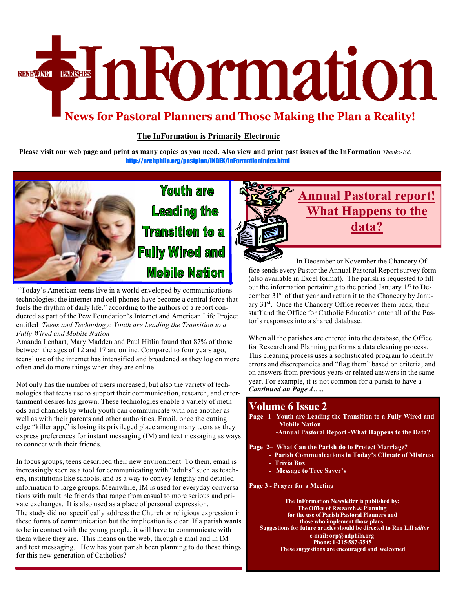# EmFormation **RENEWING**

## **News for Pastoral Planners and Those Making the Plan a Reality!**

#### **The InFormation is Primarily Electronic**

Please visit our web page and print as many copies as you need. Also view and print past issues of the InFormation Thanks-Ed. <http://archphila.org/pastplan/INDEX/InFormationindex.html>



"Today's American teens live in a world enveloped by communications technologies; the internet and cell phones have become a central force that fuels the rhythm of daily life." according to the authors of a report conducted as part of the Pew Foundation's Internet and American Life Project entitled *Teens and Technology: Youth are Leading the Transition to a Fully Wired and Mobile Nation*

Amanda Lenhart, Mary Madden and Paul Hitlin found that 87% of those between the ages of 12 and 17 are online. Compared to four years ago, teens' use of the internet has intensified and broadened as they log on more often and do more things when they are online.

Not only has the number of users increased, but also the variety of technologies that teens use to support their communication, research, and entertainment desires has grown. These technologies enable a variety of methods and channels by which youth can communicate with one another as well as with their parents and other authorities. Email, once the cutting edge "killer app," is losing its privileged place among many teens as they express preferences for instant messaging (IM) and text messaging as ways to connect with their friends.

In focus groups, teens described their new environment. To them, email is increasingly seen as a tool for communicating with "adults" such as teachers, institutions like schools, and as a way to convey lengthy and detailed information to large groups. Meanwhile, IM is used for everyday conversations with multiple friends that range from casual to more serious and private exchanges. It is also used as a place of personal expression. The study did not specifically address the Church or religious expression in these forms of communication but the implication is clear. If a parish wants to be in contact with the young people, it will have to communicate with them where they are. This means on the web, through e mail and in IM and text messaging. How has your parish been planning to do these things for this new generation of Catholics?



## **Annual Pastoral report! What Happens to the data?**

 In December or November the Chancery Office sends every Pastor the Annual Pastoral Report survey form (also available in Excel format). The parish is requested to fill out the information pertaining to the period January  $1<sup>st</sup>$  to December 31<sup>st</sup> of that year and return it to the Chancery by January 31<sup>st</sup>. Once the Chancery Office receives them back, their staff and the Office for Catholic Education enter all of the Pastor's responses into a shared database.

When all the parishes are entered into the database, the Office for Research and Planning performs a data cleaning process. This cleaning process uses a sophisticated program to identify errors and discrepancies and "flag them" based on criteria, and on answers from previous years or related answers in the same year. For example, it is not common for a parish to have a *Continued on Page 4…..*

## **Volume 6 Issue 2**

- **Page 1– Youth are Leading the Transition to a Fully Wired and Mobile Nation**
	- **-Annual Pastoral Report -What Happens to the Data?**
- **Page 2– What Can the Parish do to Protect Marriage?**
	- **Parish Communications in Today's Climate of Mistrust**
	- **Trivia Box**
	- **Message to Tree Saver's**

**Page 3 - Prayer for a Meeting**

**The InFormation Newsletter is published by: The Office of Research & Planning for the use of Parish Pastoral Planners and those who implement those plans. Suggestions for future articles should be directed to Ron Lill** *editor* **e-mail: orp@adphila.org Phone: 1-215-587-3545 These suggestions are encouraged and welcomed**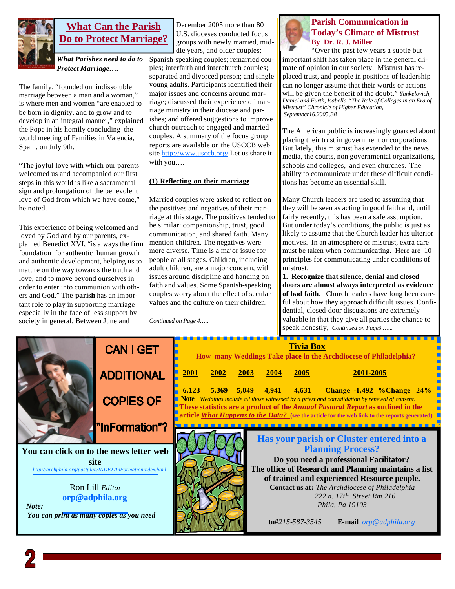

### **What Can the Parish Do to Protect Marriage?**

*What Parishes need to do to Protect Marriage….*

The family, "founded on indissoluble marriage between a man and a woman," is where men and women "are enabled to be born in dignity, and to grow and to develop in an integral manner," explained the Pope in his homily concluding the world meeting of Families in Valencia, Spain, on July 9th.

"The joyful love with which our parents welcomed us and accompanied our first steps in this world is like a sacramental sign and prolongation of the benevolent love of God from which we have come," he noted.

This experience of being welcomed and loved by God and by our parents, explained Benedict XVI, "is always the firm foundation for authentic human growth and authentic development, helping us to mature on the way towards the truth and love, and to move beyond ourselves in order to enter into communion with others and God." The **parish** has an important role to play in supporting marriage especially in the face of less support by society in general. Between June and

December 2005 more than 80 U.S. dioceses conducted focus groups with newly married, middle years, and older couples;

Spanish-speaking couples; remarried couples; interfaith and interchurch couples; separated and divorced person; and single young adults. Participants identified their major issues and concerns around marriage; discussed their experience of marriage ministry in their diocese and parishes; and offered suggestions to improve church outreach to engaged and married couples. A summary of the focus group reports are available on the USCCB web site http://www.usccb.org/ Let us share it with you….

#### **(1) Reflecting on their marriage**

Married couples were asked to reflect on the positives and negatives of their marriage at this stage. The positives tended to be similar: companionship, trust, good communication, and shared faith. Many mention children. The negatives were more diverse. Time is a major issue for people at all stages. Children, including adult children, are a major concern, with issues around discipline and handing on faith and values. Some Spanish-speaking couples worry about the effect of secular values and the culture on their children.

*Continued on Page 4…...*



#### **Parish Communication in Today's Climate of Mistrust By Dr. R. J. Miller**

"Over the past few years a subtle but important shift has taken place in the general climate of opinion in our society. Mistrust has replaced trust, and people in positions of leadership can no longer assume that their words or actions will be given the benefit of the doubt." *Yankelovich, Daniel and Furth, Isabella "The Role of Colleges in an Era of Mistrust" Chronicle of Higher Education, September16,2005,B8* 

The American public is increasingly guarded about placing their trust in government or corporations. But lately, this mistrust has extended to the news media, the courts, non governmental organizations, schools and colleges, and even churches. The ability to communicate under these difficult conditions has become an essential skill.

Many Church leaders are used to assuming that they will be seen as acting in good faith and, until fairly recently, this has been a safe assumption. But under today's conditions, the public is just as likely to assume that the Church leader has ulterior motives. In an atmosphere of mistrust, extra care must be taken when communicating. Here are 10 principles for communicating under conditions of mistrust.

**1. Recognize that silence, denial and closed doors are almost always interpreted as evidence of bad faith**. Church leaders have long been careful about how they approach difficult issues. Confidential, closed-door discussions are extremely valuable in that they give all parties the chance to speak honestly, *Continued on Page3 …...*

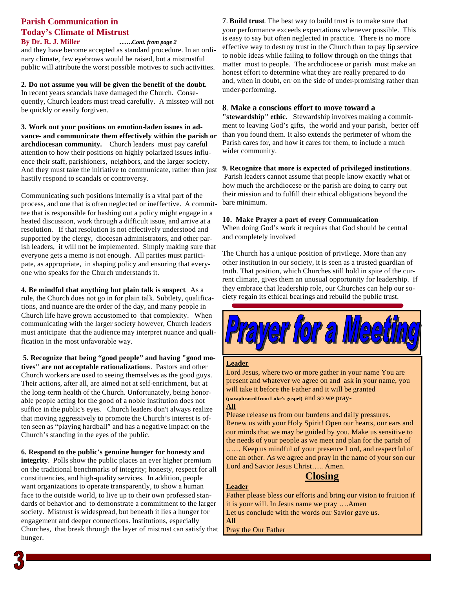## **Parish Communication in Today's Climate of Mistrust**

**By Dr. R. J. Miller …...***Cont. from page 2* and they have become accepted as standard procedure. In an ordinary climate, few eyebrows would be raised, but a mistrustful public will attribute the worst possible motives to such activities.

**2. Do not assume you will be given the benefit of the doubt.** In recent years scandals have damaged the Church. Consequently, Church leaders must tread carefully. A misstep will not be quickly or easily forgiven.

**3. Work out your positions on emotion-laden issues in advance- and communicate them effectively within the parish or archdiocesan community.** Church leaders must pay careful attention to how their positions on highly polarized issues influence their staff, parishioners, neighbors, and the larger society. And they must take the initiative to communicate, rather than just hastily respond to scandals or controversy.

Communicating such positions internally is a vital part of the process, and one that is often neglected or ineffective. A committee that is responsible for hashing out a policy might engage in a heated discussion, work through a difficult issue, and arrive at a resolution. If that resolution is not effectively understood and supported by the clergy, diocesan administrators, and other parish leaders, it will not be implemented. Simply making sure that everyone gets a memo is not enough. All parties must participate, as appropriate, in shaping policy and ensuring that everyone who speaks for the Church understands it.

**4. Be mindful that anything but plain talk is suspect**. As a rule, the Church does not go in for plain talk. Subtlety, qualifications, and nuance are the order of the day, and many people in Church life have grown accustomed to that complexity. When communicating with the larger society however, Church leaders must anticipate that the audience may interpret nuance and qualification in the most unfavorable way.

 **5. Recognize that being "good people" and having "good motives" are not acceptable rationalizations**. Pastors and other Church workers are used to seeing themselves as the good guys. Their actions, after all, are aimed not at self-enrichment, but at the long-term health of the Church. Unfortunately, being honorable people acting for the good of a noble institution does not suffice in the public's eyes. Church leaders don't always realize that moving aggressively to promote the Church's interest is often seen as "playing hardball" and has a negative impact on the Church's standing in the eyes of the public.

**6. Respond to the public's genuine hunger for honesty and** 

**integrity**. Polls show the public places an ever higher premium on the traditional benchmarks of integrity; honesty, respect for all constituencies, and high-quality services. In addition, people want organizations to operate transparently, to show a human face to the outside world, to live up to their own professed standards of behavior and to demonstrate a commitment to the larger society. Mistrust is widespread, but beneath it lies a hunger for engagement and deeper connections. Institutions, especially Churches, that break through the layer of mistrust can satisfy that hunger.

**7**. **Build trust**. The best way to build trust is to make sure that your performance exceeds expectations whenever possible. This is easy to say but often neglected in practice. There is no more effective way to destroy trust in the Church than to pay lip service to noble ideas while failing to follow through on the things that matter most to people. The archdiocese or parish must make an honest effort to determine what they are really prepared to do and, when in doubt, err on the side of under-promising rather than under-performing.

#### **8**. **Make a conscious effort to move toward a**

**"stewardship" ethic.** Stewardship involves making a commitment to leaving God's gifts, the world and your parish, better off than you found them. It also extends the perimeter of whom the Parish cares for, and how it cares for them, to include a much wider community.

#### **9. Recognize that more is expected of privileged institutions**.

Parish leaders cannot assume that people know exactly what or how much the archdiocese or the parish are doing to carry out their mission and to fulfill their ethical obligations beyond the bare minimum.

#### **10. Make Prayer a part of every Communication**

When doing God's work it requires that God should be central and completely involved

The Church has a unique position of privilege. More than any other institution in our society, it is seen as a trusted guardian of truth. That position, which Churches still hold in spite of the current climate, gives them an unusual opportunity for leadership. If they embrace that leadership role, our Churches can help our society regain its ethical bearings and rebuild the public trust.



#### **Leader**

Lord Jesus, where two or more gather in your name You are present and whatever we agree on and ask in your name, you will take it before the Father and it will be granted **(paraphrased from Luke's gospel)** and so we pray-

#### **All**

Please release us from our burdens and daily pressures. Renew us with your Holy Spirit! Open our hearts, our ears and our minds that we may be guided by you. Make us sensitive to the needs of your people as we meet and plan for the parish of …… Keep us mindful of your presence Lord, and respectful of one an other. As we agree and pray in the name of your son our Lord and Savior Jesus Christ….. Amen.

#### **Closing**

**Leader** Father please bless our efforts and bring our vision to fruition if it is your will. In Jesus name we pray ….Amen Let us conclude with the words our Savior gave us.

**All** Pray the Our Father